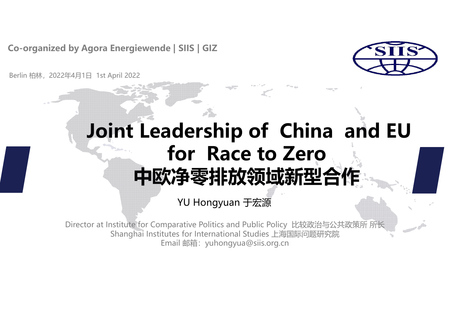**Co-organized by Agora Energiewende | SIIS | GIZ**



Berlin 柏林,2022年4月1日 1st April 2022

## **Joint Leadership of China and EU for Race to Zero 中欧净零排放领域新型合作**

YU Hongyuan 于宏源

Director at Institute for Comparative Politics and Public Policy 比较政治与公共政策所 所长 Shanghai Institutes for International Studies 上海国际问题研究院 Email 邮箱:yuhongyua@siis.org.cn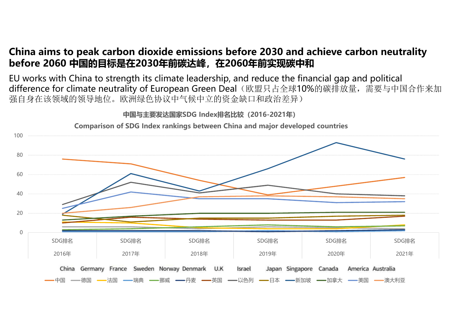#### **China aims to peak carbon dioxide emissions before 2030 and achieve carbon neutrality before 2060 中国的目标是在2030年前碳达峰,在2060年前实现碳中和**

EU works with China to strength its climate leadership, and reduce the financial gap and political difference for climate neutrality of European Green Deal(欧盟只占全球10%的碳排放量,需要与中国合作来加 强自身在该领域的领导地位。欧洲绿色协议中气候中立的资金缺口和政治差异)

**中国与主要发达国家SDG Index排名比较(2016-2021年)**



**Comparison of SDG Index rankings between China and major developed countries**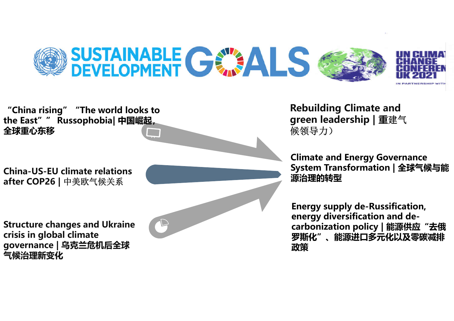



**Rebuilding Climate and green leadership | 重**建气 候领导力)

**Climate and Energy Governance System Transformation | 全球气候与能 源治理的转型**

**Energy supply de -Russification, energy diversification and de carbonization policy | 能源供应"去俄 罗斯化"、能源进口多元化以及零碳减 排 政策**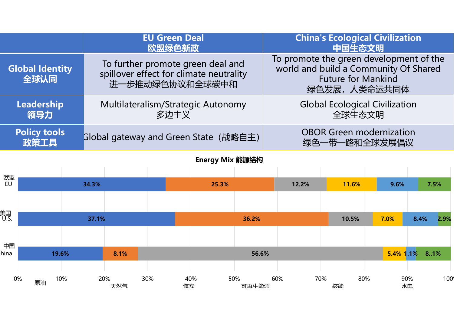|                                | <b>EU Green Deal</b><br>欧盟绿色新政                                                                  | <b>China's Ecological Civilization</b><br>中国生态文明                                                                              |
|--------------------------------|-------------------------------------------------------------------------------------------------|-------------------------------------------------------------------------------------------------------------------------------|
| <b>Global Identity</b><br>全球认同 | To further promote green deal and<br>spillover effect for climate neutrality<br>进一步推动绿色协议和全球碳中和 | To promote the green development of the<br>world and build a Community Of Shared<br><b>Future for Mankind</b><br>绿色发展,人类命运共同体 |
| Leadership<br>领导力              | Multilateralism/Strategic Autonomy<br>多边主义                                                      | <b>Global Ecological Civilization</b><br>全球生态文明                                                                               |
| <b>Policy tools</b><br>政策工具    | Global gateway and Green State (战略自主)                                                           | <b>OBOR Green modernization</b><br>绿色一带一路和全球发展倡议                                                                              |
| Energy Mix 能源结构                |                                                                                                 |                                                                                                                               |
| 欧盟                             |                                                                                                 |                                                                                                                               |

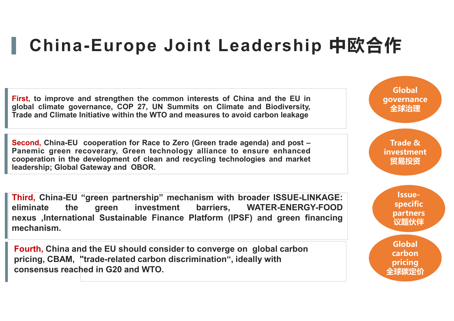### **China-Europe Joint Leadership 中欧合作**

**First, to improve and strengthen the common interests of China and the EU in global climate governance, COP 27, UN Summits on Climate and Biodiversity, Trade and Climate Initiative within the WTO and measures to avoid carbon leakage**

**Second, China-EU cooperation for Race to Zero (Green trade agenda) and post – Panemic green recoverary, Green technology alliance to ensure enhanced cooperation in the development of clean and recycling technologies and market leadership; Global Gateway and OBOR.**

**Third, China-EU "green partnership" mechanism with broader ISSUE-LINKAGE: eliminate the green investment barriers, WATER-ENERGY-FOOD nexus ,International Sustainable Finance Platform (IPSF) and green financing mechanism.**

**Fourth, China and the EU should consider to converge on global carbon pricing, CBAM, "trade-related carbon discrimination", ideally with consensus reached in G20 and WTO.**

**Global governance 全球治理 Trade & investment 贸易投资 Issuespecific partners 议题伙伴 Global carbon pricing 全球碳定价**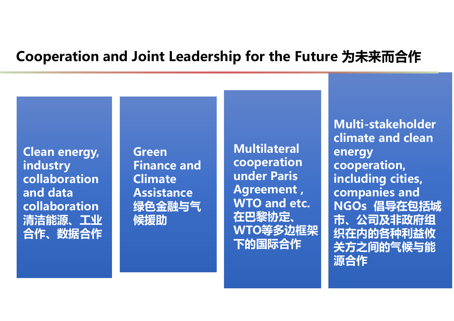#### **Cooperation and Joint Leadership for the Future 为未来而合作**

**Clean energy, industry collaboration and data collaboration 清洁能源、工业 合作、数据合作**

**Green Finance and Climate Assistance 绿色金融与气 候援助**

**Multilateral cooperation under Paris Agreement , WTO and etc. 在巴黎协定、 WTO等多边框架 下的国际合作**

**Multi-stakeholder climate and clean energy cooperation, including cities, companies and NGOs 倡导在包括城 市、公司及非政府组 织在内的各种利益攸 关方之间的气候与能 源合作**